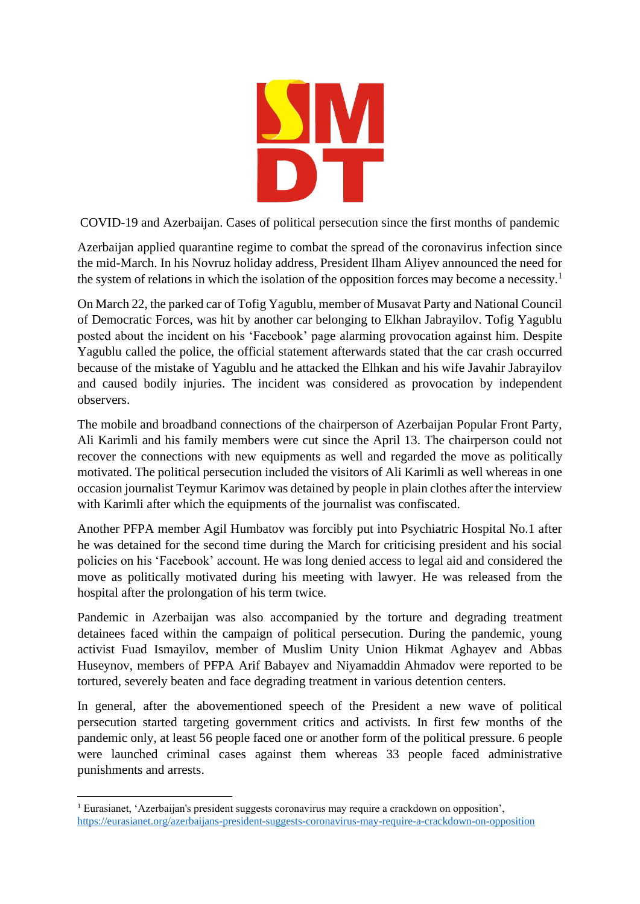

COVID-19 and Azerbaijan. Cases of political persecution since the first months of pandemic

Azerbaijan applied quarantine regime to combat the spread of the coronavirus infection since the mid-March. In his Novruz holiday address, President Ilham Aliyev announced the need for the system of relations in which the isolation of the opposition forces may become a necessity.<sup>1</sup>

On March 22, the parked car of Tofig Yagublu, member of Musavat Party and National Council of Democratic Forces, was hit by another car belonging to Elkhan Jabrayilov. Tofig Yagublu posted about the incident on his 'Facebook' page alarming provocation against him. Despite Yagublu called the police, the official statement afterwards stated that the car crash occurred because of the mistake of Yagublu and he attacked the Elhkan and his wife Javahir Jabrayilov and caused bodily injuries. The incident was considered as provocation by independent observers.

The mobile and broadband connections of the chairperson of Azerbaijan Popular Front Party, Ali Karimli and his family members were cut since the April 13. The chairperson could not recover the connections with new equipments as well and regarded the move as politically motivated. The political persecution included the visitors of Ali Karimli as well whereas in one occasion journalist Teymur Karimov was detained by people in plain clothes after the interview with Karimli after which the equipments of the journalist was confiscated.

Another PFPA member Agil Humbatov was forcibly put into Psychiatric Hospital No.1 after he was detained for the second time during the March for criticising president and his social policies on his 'Facebook' account. He was long denied access to legal aid and considered the move as politically motivated during his meeting with lawyer. He was released from the hospital after the prolongation of his term twice.

Pandemic in Azerbaijan was also accompanied by the torture and degrading treatment detainees faced within the campaign of political persecution. During the pandemic, young activist Fuad Ismayilov, member of Muslim Unity Union Hikmat Aghayev and Abbas Huseynov, members of PFPA Arif Babayev and Niyamaddin Ahmadov were reported to be tortured, severely beaten and face degrading treatment in various detention centers.

In general, after the abovementioned speech of the President a new wave of political persecution started targeting government critics and activists. In first few months of the pandemic only, at least 56 people faced one or another form of the political pressure. 6 people were launched criminal cases against them whereas 33 people faced administrative punishments and arrests.

<sup>&</sup>lt;sup>1</sup> Eurasianet, 'Azerbaijan's president suggests coronavirus may require a crackdown on opposition', <https://eurasianet.org/azerbaijans-president-suggests-coronavirus-may-require-a-crackdown-on-opposition>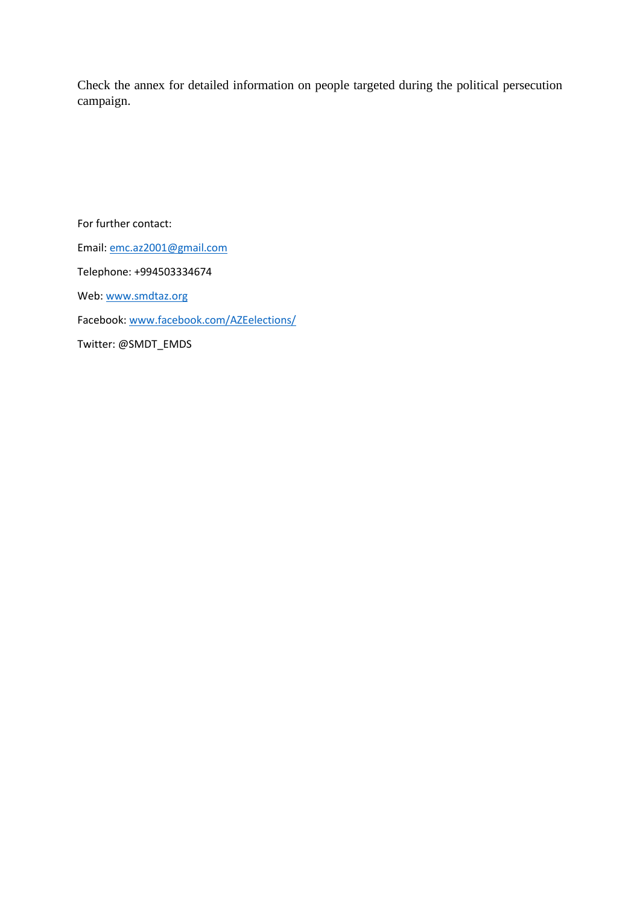Check the annex for detailed information on people targeted during the political persecution campaign.

For further contact: Email: [emc.az2001@gmail.com](mailto:emc.az2001@gmail.com) Telephone: +994503334674 Web[: www.smdtaz.org](http://www.smdtaz.org/) Facebook: [www.facebook.com/AZEelections/](http://www.facebook.com/AZEelections/) Twitter: @SMDT\_EMDS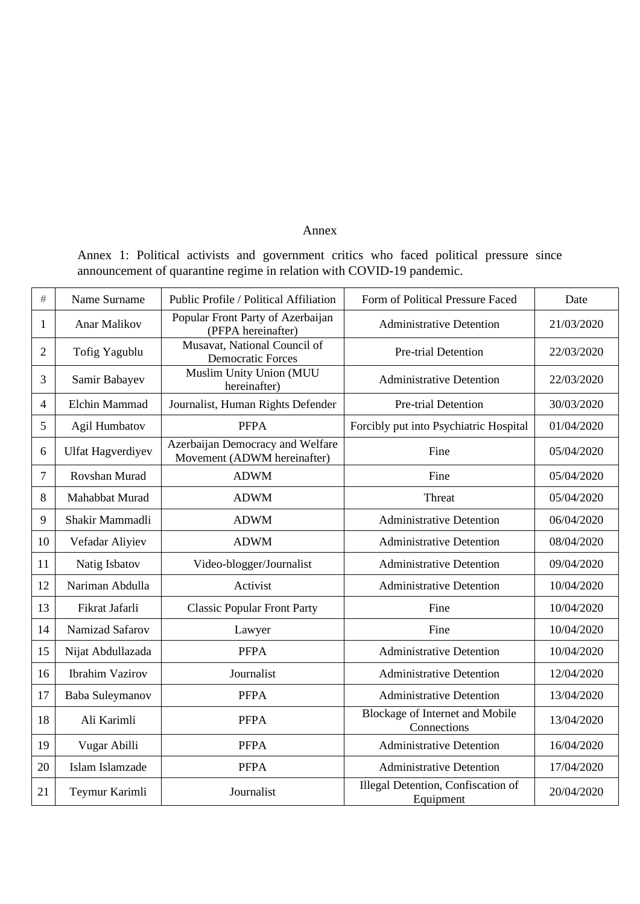## Annex

Annex 1: Political activists and government critics who faced political pressure since announcement of quarantine regime in relation with COVID-19 pandemic.

| #              | Name Surname             | Public Profile / Political Affiliation                          | Form of Political Pressure Faced                | Date       |
|----------------|--------------------------|-----------------------------------------------------------------|-------------------------------------------------|------------|
| 1              | Anar Malikov             | Popular Front Party of Azerbaijan<br>(PFPA hereinafter)         | <b>Administrative Detention</b>                 | 21/03/2020 |
| $\overline{2}$ | Tofig Yagublu            | Musavat, National Council of<br><b>Democratic Forces</b>        | Pre-trial Detention                             | 22/03/2020 |
| 3              | Samir Babayev            | Muslim Unity Union (MUU<br>hereinafter)                         | <b>Administrative Detention</b>                 | 22/03/2020 |
| 4              | Elchin Mammad            | Journalist, Human Rights Defender                               | Pre-trial Detention                             | 30/03/2020 |
| 5              | Agil Humbatov            | <b>PFPA</b>                                                     | Forcibly put into Psychiatric Hospital          | 01/04/2020 |
| 6              | <b>Ulfat Hagverdiyev</b> | Azerbaijan Democracy and Welfare<br>Movement (ADWM hereinafter) | Fine                                            | 05/04/2020 |
| 7              | Rovshan Murad            | <b>ADWM</b>                                                     | Fine                                            | 05/04/2020 |
| 8              | Mahabbat Murad           | <b>ADWM</b>                                                     | Threat                                          | 05/04/2020 |
| 9              | Shakir Mammadli          | <b>ADWM</b>                                                     | <b>Administrative Detention</b>                 | 06/04/2020 |
| 10             | Vefadar Aliyiev          | <b>ADWM</b>                                                     | <b>Administrative Detention</b>                 | 08/04/2020 |
| 11             | Natig Isbatov            | Video-blogger/Journalist                                        | <b>Administrative Detention</b>                 | 09/04/2020 |
| 12             | Nariman Abdulla          | Activist                                                        | <b>Administrative Detention</b>                 | 10/04/2020 |
| 13             | Fikrat Jafarli           | <b>Classic Popular Front Party</b>                              | Fine                                            | 10/04/2020 |
| 14             | Namizad Safarov          | Lawyer                                                          | Fine                                            | 10/04/2020 |
| 15             | Nijat Abdullazada        | <b>PFPA</b>                                                     | <b>Administrative Detention</b>                 | 10/04/2020 |
| 16             | <b>Ibrahim Vazirov</b>   | Journalist                                                      | <b>Administrative Detention</b>                 | 12/04/2020 |
| 17             | Baba Suleymanov          | <b>PFPA</b>                                                     | <b>Administrative Detention</b>                 | 13/04/2020 |
| 18             | Ali Karimli              | <b>PFPA</b>                                                     | Blockage of Internet and Mobile<br>Connections  | 13/04/2020 |
| 19             | Vugar Abilli             | <b>PFPA</b>                                                     | <b>Administrative Detention</b>                 | 16/04/2020 |
| 20             | Islam Islamzade          | <b>PFPA</b>                                                     | <b>Administrative Detention</b>                 | 17/04/2020 |
| 21             | Teymur Karimli           | Journalist                                                      | Illegal Detention, Confiscation of<br>Equipment | 20/04/2020 |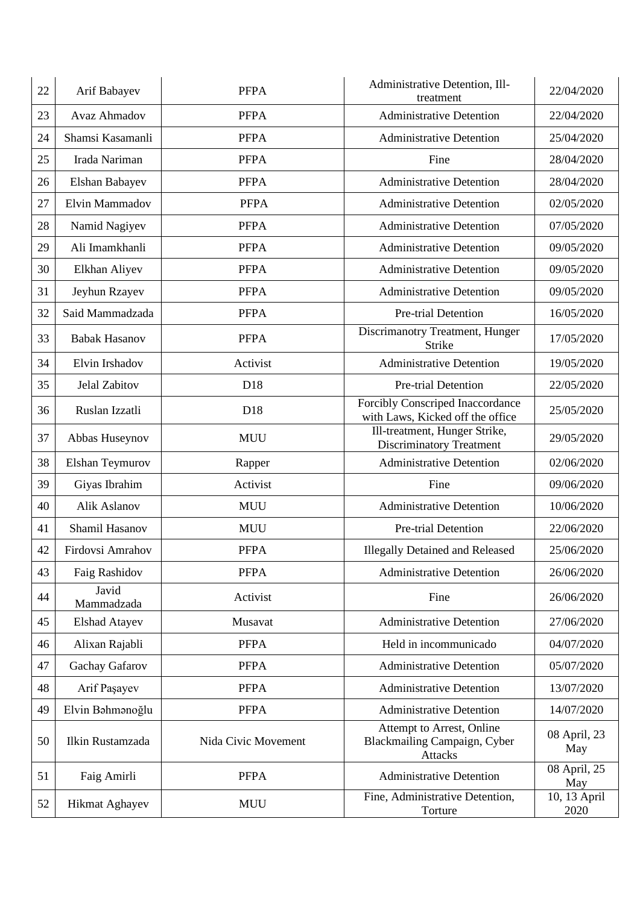| 22 | Arif Babayev         | <b>PFPA</b>         | Administrative Detention, Ill-<br>treatment                                 | 22/04/2020           |
|----|----------------------|---------------------|-----------------------------------------------------------------------------|----------------------|
| 23 | <b>Avaz Ahmadov</b>  | <b>PFPA</b>         | <b>Administrative Detention</b>                                             | 22/04/2020           |
| 24 | Shamsi Kasamanli     | <b>PFPA</b>         | <b>Administrative Detention</b>                                             | 25/04/2020           |
| 25 | Irada Nariman        | <b>PFPA</b>         | Fine                                                                        | 28/04/2020           |
| 26 | Elshan Babayev       | <b>PFPA</b>         | <b>Administrative Detention</b>                                             | 28/04/2020           |
| 27 | Elvin Mammadov       | <b>PFPA</b>         | <b>Administrative Detention</b>                                             | 02/05/2020           |
| 28 | Namid Nagiyev        | <b>PFPA</b>         | <b>Administrative Detention</b>                                             | 07/05/2020           |
| 29 | Ali Imamkhanli       | <b>PFPA</b>         | <b>Administrative Detention</b>                                             | 09/05/2020           |
| 30 | Elkhan Aliyev        | <b>PFPA</b>         | <b>Administrative Detention</b>                                             | 09/05/2020           |
| 31 | Jeyhun Rzayev        | <b>PFPA</b>         | <b>Administrative Detention</b>                                             | 09/05/2020           |
| 32 | Said Mammadzada      | <b>PFPA</b>         | Pre-trial Detention                                                         | 16/05/2020           |
| 33 | <b>Babak Hasanov</b> | <b>PFPA</b>         | Discrimanotry Treatment, Hunger<br>Strike                                   | 17/05/2020           |
| 34 | Elvin Irshadov       | Activist            | <b>Administrative Detention</b>                                             | 19/05/2020           |
| 35 | <b>Jelal Zabitov</b> | D18                 | Pre-trial Detention                                                         | 22/05/2020           |
| 36 | Ruslan Izzatli       | D18                 | Forcibly Conscriped Inaccordance<br>with Laws, Kicked off the office        | 25/05/2020           |
| 37 | Abbas Huseynov       | <b>MUU</b>          | Ill-treatment, Hunger Strike,<br><b>Discriminatory Treatment</b>            | 29/05/2020           |
| 38 | Elshan Teymurov      | Rapper              | <b>Administrative Detention</b>                                             | 02/06/2020           |
| 39 | Giyas Ibrahim        | Activist            | Fine                                                                        | 09/06/2020           |
| 40 | Alik Aslanov         | <b>MUU</b>          | <b>Administrative Detention</b>                                             | 10/06/2020           |
| 41 | Shamil Hasanov       | <b>MUU</b>          | Pre-trial Detention                                                         | 22/06/2020           |
| 42 | Firdovsi Amrahov     | <b>PFPA</b>         | <b>Illegally Detained and Released</b>                                      | 25/06/2020           |
| 43 | Faig Rashidov        | <b>PFPA</b>         | <b>Administrative Detention</b>                                             | 26/06/2020           |
| 44 | Javid<br>Mammadzada  | Activist            | Fine                                                                        | 26/06/2020           |
| 45 | <b>Elshad Atayev</b> | Musavat             | <b>Administrative Detention</b>                                             | 27/06/2020           |
| 46 | Alixan Rajabli       | <b>PFPA</b>         | Held in incommunicado                                                       | 04/07/2020           |
| 47 | Gachay Gafarov       | <b>PFPA</b>         | <b>Administrative Detention</b>                                             | 05/07/2020           |
| 48 | Arif Paşayev         | <b>PFPA</b>         | <b>Administrative Detention</b>                                             | 13/07/2020           |
| 49 | Elvin Bahmanoğlu     | <b>PFPA</b>         | <b>Administrative Detention</b>                                             | 14/07/2020           |
| 50 | Ilkin Rustamzada     | Nida Civic Movement | Attempt to Arrest, Online<br>Blackmailing Campaign, Cyber<br><b>Attacks</b> | 08 April, 23<br>May  |
| 51 | Faig Amirli          | <b>PFPA</b>         | <b>Administrative Detention</b>                                             | 08 April, 25<br>May  |
| 52 | Hikmat Aghayev       | <b>MUU</b>          | Fine, Administrative Detention,<br>Torture                                  | 10, 13 April<br>2020 |